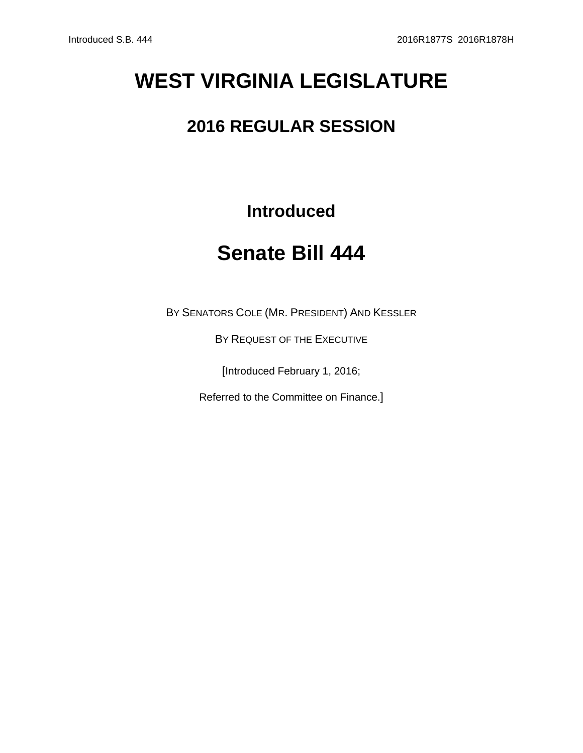## **WEST VIRGINIA LEGISLATURE**

## **2016 REGULAR SESSION**

## **Introduced**

## **Senate Bill 444**

BY SENATORS COLE (MR. PRESIDENT) AND KESSLER

BY REQUEST OF THE EXECUTIVE

[Introduced February 1, 2016;

Referred to the Committee on Finance.]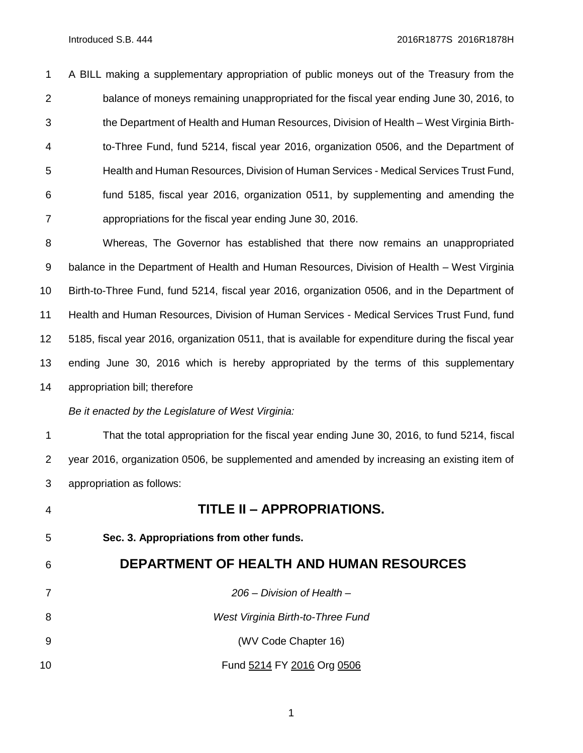A BILL making a supplementary appropriation of public moneys out of the Treasury from the balance of moneys remaining unappropriated for the fiscal year ending June 30, 2016, to the Department of Health and Human Resources, Division of Health – West Virginia Birth- to-Three Fund, fund 5214, fiscal year 2016, organization 0506, and the Department of Health and Human Resources, Division of Human Services - Medical Services Trust Fund, fund 5185, fiscal year 2016, organization 0511, by supplementing and amending the appropriations for the fiscal year ending June 30, 2016.

 Whereas, The Governor has established that there now remains an unappropriated 9 balance in the Department of Health and Human Resources, Division of Health – West Virginia Birth-to-Three Fund, fund 5214, fiscal year 2016, organization 0506, and in the Department of Health and Human Resources, Division of Human Services - Medical Services Trust Fund, fund 5185, fiscal year 2016, organization 0511, that is available for expenditure during the fiscal year ending June 30, 2016 which is hereby appropriated by the terms of this supplementary appropriation bill; therefore

*Be it enacted by the Legislature of West Virginia:*

 That the total appropriation for the fiscal year ending June 30, 2016, to fund 5214, fiscal year 2016, organization 0506, be supplemented and amended by increasing an existing item of appropriation as follows:

 **TITLE II – APPROPRIATIONS. Sec. 3. Appropriations from other funds. DEPARTMENT OF HEALTH AND HUMAN RESOURCES** *206 – Division of Health – West Virginia Birth-to-Three Fund* (WV Code Chapter 16) Fund 5214 FY 2016 Org 0506